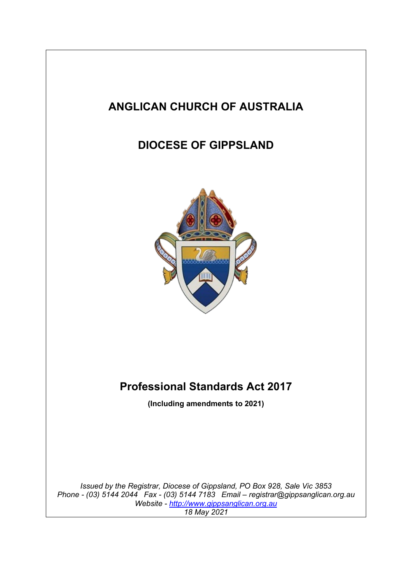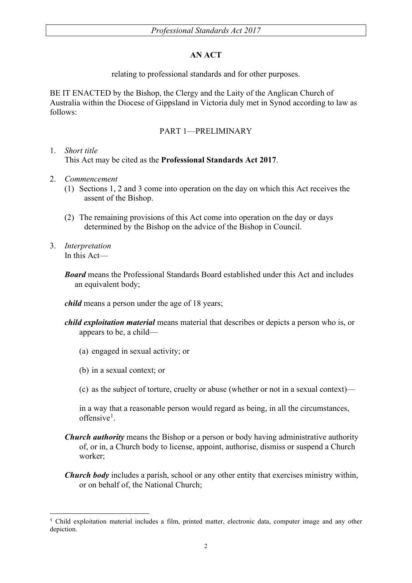## **AN ACT**

relating to professional standards and for other purposes.

BE IT ENACTED by the Bishop, the Clergy and the Laity of the Anglican Church of Australia within the Diocese of Gippsland in Victoria duly met in Synod according to law as follows:

## PART 1—PRELIMINARY

## 1. *Short title* This Act may be cited as the **Professional Standards Act 2017**.

- 2. *Commencement*
	- (1) Sections 1, 2 and 3 come into operation on the day on which this Act receives the assent of the Bishop.
	- (2) The remaining provisions of this Act come into operation on the day or days determined by the Bishop on the advice of the Bishop in Council.
- 3. *Interpretation* In this Act—

*Board* means the Professional Standards Board established under this Act and includes an equivalent body;

*child* means a person under the age of 18 years;

- *child exploitation material* means material that describes or depicts a person who is, or appears to be, a child—
	- (a) engaged in sexual activity; or
	- (b) in a sexual context; or
	- (c) as the subject of torture, cruelty or abuse (whether or not in a sexual context)—

in a way that a reasonable person would regard as being, in all the circumstances, offensive<sup>[1](#page-1-0)</sup>.

- *Church authority* means the Bishop or a person or body having administrative authority of, or in, a Church body to license, appoint, authorise, dismiss or suspend a Church worker;
- *Church body* includes a parish, school or any other entity that exercises ministry within, or on behalf of, the National Church;

<span id="page-1-0"></span><sup>1</sup> Child exploitation material includes a film, printed matter, electronic data, computer image and any other depiction.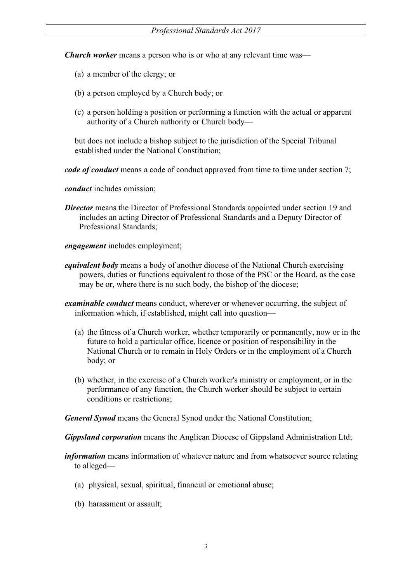*Church worker* means a person who is or who at any relevant time was—

- (a) a member of the clergy; or
- (b) a person employed by a Church body; or
- (c) a person holding a position or performing a function with the actual or apparent authority of a Church authority or Church body—

but does not include a bishop subject to the jurisdiction of the Special Tribunal established under the National Constitution;

*code of conduct* means a code of conduct approved from time to time under section 7;

*conduct* includes omission;

**Director** means the Director of Professional Standards appointed under section 19 and includes an acting Director of Professional Standards and a Deputy Director of Professional Standards;

*engagement* includes employment;

- *equivalent body* means a body of another diocese of the National Church exercising powers, duties or functions equivalent to those of the PSC or the Board, as the case may be or, where there is no such body, the bishop of the diocese;
- *examinable conduct* means conduct, wherever or whenever occurring, the subject of information which, if established, might call into question—
	- (a) the fitness of a Church worker, whether temporarily or permanently, now or in the future to hold a particular office, licence or position of responsibility in the National Church or to remain in Holy Orders or in the employment of a Church body; or
	- (b) whether, in the exercise of a Church worker's ministry or employment, or in the performance of any function, the Church worker should be subject to certain conditions or restrictions;

*General Synod* means the General Synod under the National Constitution;

*Gippsland corporation* means the Anglican Diocese of Gippsland Administration Ltd;

*information* means information of whatever nature and from whatsoever source relating to alleged—

- (a) physical, sexual, spiritual, financial or emotional abuse;
- (b) harassment or assault;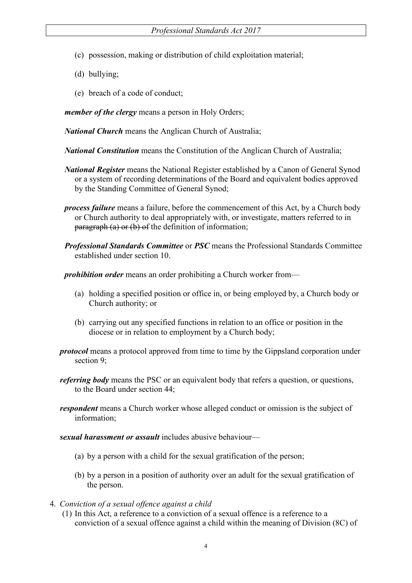- (c) possession, making or distribution of child exploitation material;
- (d) bullying;
- (e) breach of a code of conduct;

*member of the clergy* means a person in Holy Orders;

*National Church* means the Anglican Church of Australia;

- *National Constitution* means the Constitution of the Anglican Church of Australia;
- *National Register* means the National Register established by a Canon of General Synod or a system of recording determinations of the Board and equivalent bodies approved by the Standing Committee of General Synod;
- *process failure* means a failure, before the commencement of this Act, by a Church body or Church authority to deal appropriately with, or investigate, matters referred to in  $\frac{\partial}{\partial x}$  paragraph (a) or (b) of the definition of information;
- *Professional Standards Committee* or *PSC* means the Professional Standards Committee established under section 10.

*prohibition order* means an order prohibiting a Church worker from—

- (a) holding a specified position or office in, or being employed by, a Church body or Church authority; or
- (b) carrying out any specified functions in relation to an office or position in the diocese or in relation to employment by a Church body;
- *protocol* means a protocol approved from time to time by the Gippsland corporation under section 9;
- *referring body* means the PSC or an equivalent body that refers a question, or questions, to the Board under section 44;
- *respondent* means a Church worker whose alleged conduct or omission is the subject of information;

*sexual harassment or assault* includes abusive behaviour—

- (a) by a person with a child for the sexual gratification of the person;
- (b) by a person in a position of authority over an adult for the sexual gratification of the person.
- 4. *Conviction of a sexual offence against a child*
	- (1) In this Act, a reference to a conviction of a sexual offence is a reference to a conviction of a sexual offence against a child within the meaning of Division (8C) of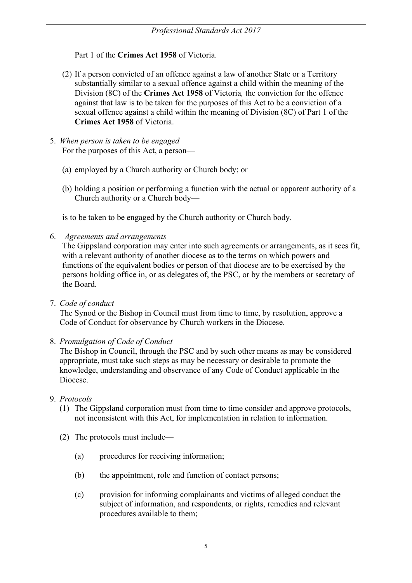## Part 1 of the **Crimes Act 1958** of Victoria.

- (2) If a person convicted of an offence against a law of another State or a Territory substantially similar to a sexual offence against a child within the meaning of the Division (8C) of the **Crimes Act 1958** of Victoria*,* the conviction for the offence against that law is to be taken for the purposes of this Act to be a conviction of a sexual offence against a child within the meaning of Division (8C) of Part 1 of the **Crimes Act 1958** of Victoria.
- 5. *When person is taken to be engaged* For the purposes of this Act, a person—
	- (a) employed by a Church authority or Church body; or
	- (b) holding a position or performing a function with the actual or apparent authority of a Church authority or a Church body—

is to be taken to be engaged by the Church authority or Church body.

6. *Agreements and arrangements*

The Gippsland corporation may enter into such agreements or arrangements, as it sees fit, with a relevant authority of another diocese as to the terms on which powers and functions of the equivalent bodies or person of that diocese are to be exercised by the persons holding office in, or as delegates of, the PSC, or by the members or secretary of the Board.

7. *Code of conduct*

The Synod or the Bishop in Council must from time to time, by resolution, approve a Code of Conduct for observance by Church workers in the Diocese.

8. *Promulgation of Code of Conduct*

The Bishop in Council, through the PSC and by such other means as may be considered appropriate, must take such steps as may be necessary or desirable to promote the knowledge, understanding and observance of any Code of Conduct applicable in the Diocese.

- 9. *Protocols*
	- (1) The Gippsland corporation must from time to time consider and approve protocols, not inconsistent with this Act, for implementation in relation to information.
	- (2) The protocols must include—
		- (a) procedures for receiving information;
		- (b) the appointment, role and function of contact persons;
		- (c) provision for informing complainants and victims of alleged conduct the subject of information, and respondents, or rights, remedies and relevant procedures available to them;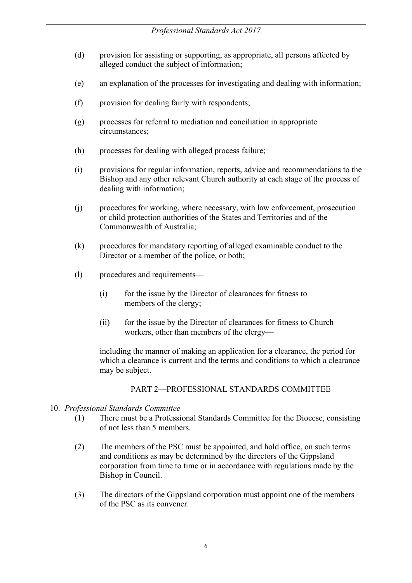- (d) provision for assisting or supporting, as appropriate, all persons affected by alleged conduct the subject of information;
- (e) an explanation of the processes for investigating and dealing with information;
- (f) provision for dealing fairly with respondents;
- (g) processes for referral to mediation and conciliation in appropriate circumstances;
- (h) processes for dealing with alleged process failure;
- (i) provisions for regular information, reports, advice and recommendations to the Bishop and any other relevant Church authority at each stage of the process of dealing with information;
- (j) procedures for working, where necessary, with law enforcement, prosecution or child protection authorities of the States and Territories and of the Commonwealth of Australia;
- (k) procedures for mandatory reporting of alleged examinable conduct to the Director or a member of the police, or both;
- (l) procedures and requirements—
	- (i) for the issue by the Director of clearances for fitness to members of the clergy;
	- (ii) for the issue by the Director of clearances for fitness to Church workers, other than members of the clergy—

including the manner of making an application for a clearance, the period for which a clearance is current and the terms and conditions to which a clearance may be subject.

## PART 2—PROFESSIONAL STANDARDS COMMITTEE

- 10. *Professional Standards Committee*
	- (1) There must be a Professional Standards Committee for the Diocese, consisting of not less than 5 members.
	- (2) The members of the PSC must be appointed, and hold office, on such terms and conditions as may be determined by the directors of the Gippsland corporation from time to time or in accordance with regulations made by the Bishop in Council.
	- (3) The directors of the Gippsland corporation must appoint one of the members of the PSC as its convener.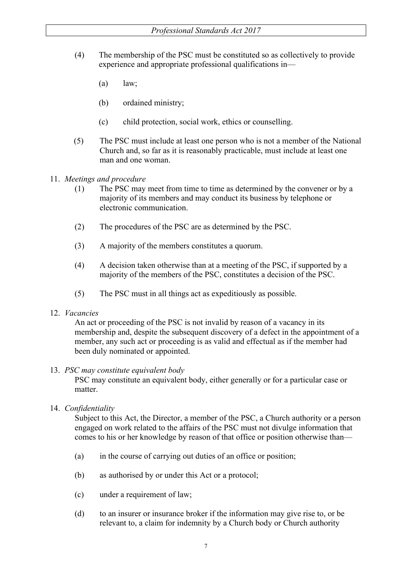- (4) The membership of the PSC must be constituted so as collectively to provide experience and appropriate professional qualifications in—
	- (a) law;
	- (b) ordained ministry;
	- (c) child protection, social work, ethics or counselling.
- (5) The PSC must include at least one person who is not a member of the National Church and, so far as it is reasonably practicable, must include at least one man and one woman.
- 11. *Meetings and procedure*
	- (1) The PSC may meet from time to time as determined by the convener or by a majority of its members and may conduct its business by telephone or electronic communication.
	- (2) The procedures of the PSC are as determined by the PSC.
	- (3) A majority of the members constitutes a quorum.
	- (4) A decision taken otherwise than at a meeting of the PSC, if supported by a majority of the members of the PSC, constitutes a decision of the PSC.
	- (5) The PSC must in all things act as expeditiously as possible.

## 12. *Vacancies*

An act or proceeding of the PSC is not invalid by reason of a vacancy in its membership and, despite the subsequent discovery of a defect in the appointment of a member, any such act or proceeding is as valid and effectual as if the member had been duly nominated or appointed.

## 13. *PSC may constitute equivalent body*

PSC may constitute an equivalent body, either generally or for a particular case or matter.

## 14. *Confidentiality*

Subject to this Act, the Director, a member of the PSC, a Church authority or a person engaged on work related to the affairs of the PSC must not divulge information that comes to his or her knowledge by reason of that office or position otherwise than—

- (a) in the course of carrying out duties of an office or position;
- (b) as authorised by or under this Act or a protocol;
- (c) under a requirement of law;
- (d) to an insurer or insurance broker if the information may give rise to, or be relevant to, a claim for indemnity by a Church body or Church authority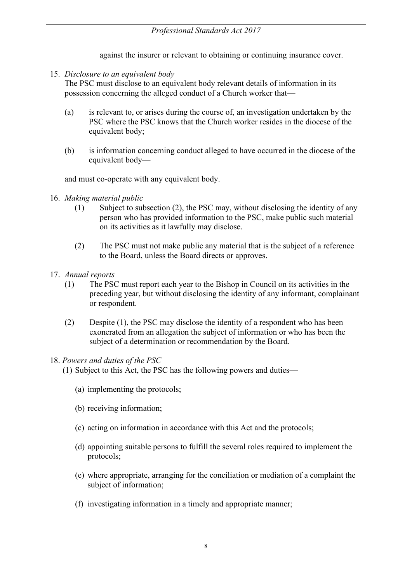against the insurer or relevant to obtaining or continuing insurance cover.

15. *Disclosure to an equivalent body*

The PSC must disclose to an equivalent body relevant details of information in its possession concerning the alleged conduct of a Church worker that—

- (a) is relevant to, or arises during the course of, an investigation undertaken by the PSC where the PSC knows that the Church worker resides in the diocese of the equivalent body;
- (b) is information concerning conduct alleged to have occurred in the diocese of the equivalent body—

and must co-operate with any equivalent body.

- 16. *Making material public*
	- (1) Subject to subsection (2), the PSC may, without disclosing the identity of any person who has provided information to the PSC, make public such material on its activities as it lawfully may disclose.
	- (2) The PSC must not make public any material that is the subject of a reference to the Board, unless the Board directs or approves.
- 17. *Annual reports*
	- (1) The PSC must report each year to the Bishop in Council on its activities in the preceding year, but without disclosing the identity of any informant, complainant or respondent.
	- (2) Despite (1), the PSC may disclose the identity of a respondent who has been exonerated from an allegation the subject of information or who has been the subject of a determination or recommendation by the Board.

## 18. *Powers and duties of the PSC*

(1) Subject to this Act, the PSC has the following powers and duties—

- (a) implementing the protocols;
- (b) receiving information;
- (c) acting on information in accordance with this Act and the protocols;
- (d) appointing suitable persons to fulfill the several roles required to implement the protocols;
- (e) where appropriate, arranging for the conciliation or mediation of a complaint the subject of information;
- (f) investigating information in a timely and appropriate manner;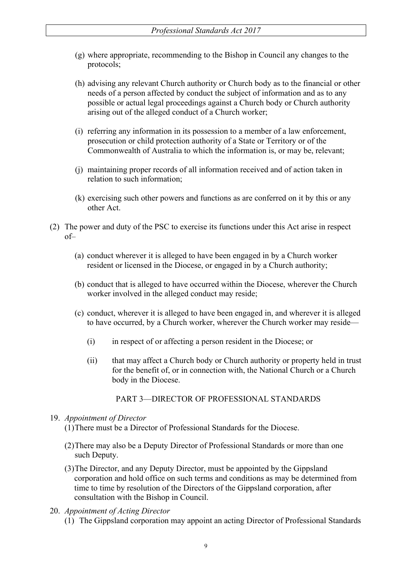- (g) where appropriate, recommending to the Bishop in Council any changes to the protocols;
- (h) advising any relevant Church authority or Church body as to the financial or other needs of a person affected by conduct the subject of information and as to any possible or actual legal proceedings against a Church body or Church authority arising out of the alleged conduct of a Church worker;
- (i) referring any information in its possession to a member of a law enforcement, prosecution or child protection authority of a State or Territory or of the Commonwealth of Australia to which the information is, or may be, relevant;
- (j) maintaining proper records of all information received and of action taken in relation to such information;
- (k) exercising such other powers and functions as are conferred on it by this or any other Act.
- (2) The power and duty of the PSC to exercise its functions under this Act arise in respect of–
	- (a) conduct wherever it is alleged to have been engaged in by a Church worker resident or licensed in the Diocese, or engaged in by a Church authority;
	- (b) conduct that is alleged to have occurred within the Diocese, wherever the Church worker involved in the alleged conduct may reside;
	- (c) conduct, wherever it is alleged to have been engaged in, and wherever it is alleged to have occurred, by a Church worker, wherever the Church worker may reside—
		- (i) in respect of or affecting a person resident in the Diocese; or
		- (ii) that may affect a Church body or Church authority or property held in trust for the benefit of, or in connection with, the National Church or a Church body in the Diocese.

PART 3—DIRECTOR OF PROFESSIONAL STANDARDS

## 19. *Appointment of Director*

(1)There must be a Director of Professional Standards for the Diocese.

- (2)There may also be a Deputy Director of Professional Standards or more than one such Deputy.
- (3)The Director, and any Deputy Director, must be appointed by the Gippsland corporation and hold office on such terms and conditions as may be determined from time to time by resolution of the Directors of the Gippsland corporation, after consultation with the Bishop in Council.

## 20. *Appointment of Acting Director*

(1) The Gippsland corporation may appoint an acting Director of Professional Standards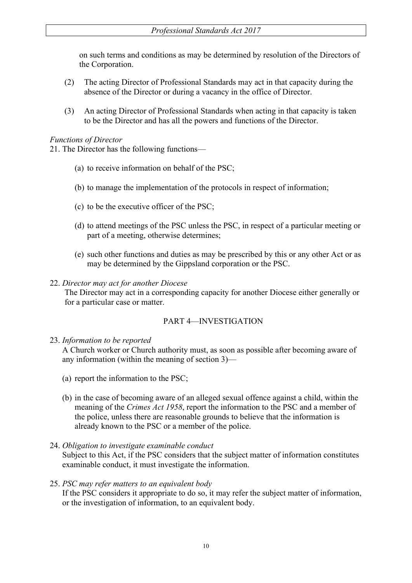on such terms and conditions as may be determined by resolution of the Directors of the Corporation.

- (2) The acting Director of Professional Standards may act in that capacity during the absence of the Director or during a vacancy in the office of Director.
- (3) An acting Director of Professional Standards when acting in that capacity is taken to be the Director and has all the powers and functions of the Director.

## *Functions of Director*

21. The Director has the following functions—

- (a) to receive information on behalf of the PSC;
- (b) to manage the implementation of the protocols in respect of information;
- (c) to be the executive officer of the PSC;
- (d) to attend meetings of the PSC unless the PSC, in respect of a particular meeting or part of a meeting, otherwise determines;
- (e) such other functions and duties as may be prescribed by this or any other Act or as may be determined by the Gippsland corporation or the PSC.

#### 22. *Director may act for another Diocese*

The Director may act in a corresponding capacity for another Diocese either generally or for a particular case or matter.

## PART 4—INVESTIGATION

## 23. *Information to be reported*

A Church worker or Church authority must, as soon as possible after becoming aware of any information (within the meaning of section 3)—

- (a) report the information to the PSC;
- (b) in the case of becoming aware of an alleged sexual offence against a child, within the meaning of the *Crimes Act 1958*, report the information to the PSC and a member of the police, unless there are reasonable grounds to believe that the information is already known to the PSC or a member of the police.
- 24. *Obligation to investigate examinable conduct*

Subject to this Act, if the PSC considers that the subject matter of information constitutes examinable conduct, it must investigate the information.

#### 25. *PSC may refer matters to an equivalent body*

If the PSC considers it appropriate to do so, it may refer the subject matter of information, or the investigation of information, to an equivalent body.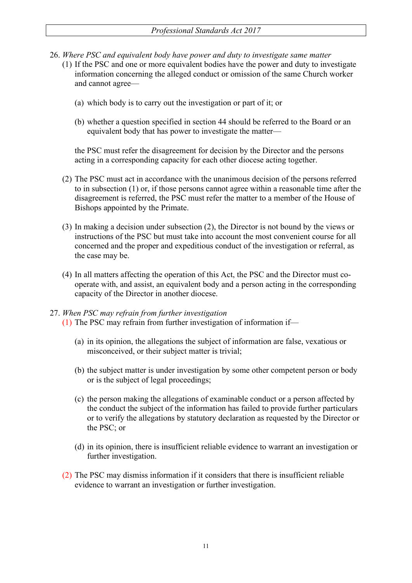- 26. *Where PSC and equivalent body have power and duty to investigate same matter* 
	- (1) If the PSC and one or more equivalent bodies have the power and duty to investigate information concerning the alleged conduct or omission of the same Church worker and cannot agree—
		- (a) which body is to carry out the investigation or part of it; or
		- (b) whether a question specified in section 44 should be referred to the Board or an equivalent body that has power to investigate the matter—

the PSC must refer the disagreement for decision by the Director and the persons acting in a corresponding capacity for each other diocese acting together.

- (2) The PSC must act in accordance with the unanimous decision of the persons referred to in subsection (1) or, if those persons cannot agree within a reasonable time after the disagreement is referred, the PSC must refer the matter to a member of the House of Bishops appointed by the Primate.
- (3) In making a decision under subsection (2), the Director is not bound by the views or instructions of the PSC but must take into account the most convenient course for all concerned and the proper and expeditious conduct of the investigation or referral, as the case may be.
- (4) In all matters affecting the operation of this Act, the PSC and the Director must cooperate with, and assist, an equivalent body and a person acting in the corresponding capacity of the Director in another diocese.

## 27. *When PSC may refrain from further investigation*

- (1) The PSC may refrain from further investigation of information if—
	- (a) in its opinion, the allegations the subject of information are false, vexatious or misconceived, or their subject matter is trivial;
	- (b) the subject matter is under investigation by some other competent person or body or is the subject of legal proceedings;
	- (c) the person making the allegations of examinable conduct or a person affected by the conduct the subject of the information has failed to provide further particulars or to verify the allegations by statutory declaration as requested by the Director or the PSC; or
	- (d) in its opinion, there is insufficient reliable evidence to warrant an investigation or further investigation.
- (2) The PSC may dismiss information if it considers that there is insufficient reliable evidence to warrant an investigation or further investigation.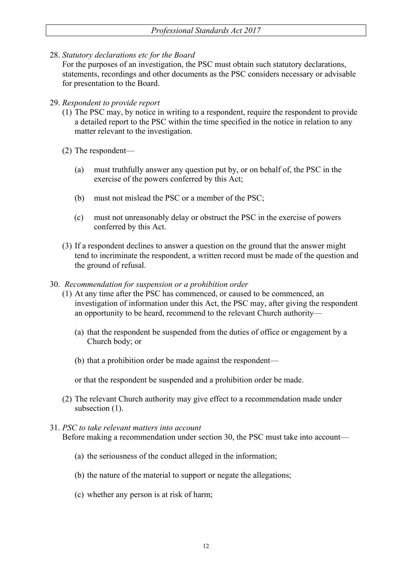28. *Statutory declarations etc for the Board*

For the purposes of an investigation, the PSC must obtain such statutory declarations, statements, recordings and other documents as the PSC considers necessary or advisable for presentation to the Board.

### 29. *Respondent to provide report*

- (1) The PSC may, by notice in writing to a respondent, require the respondent to provide a detailed report to the PSC within the time specified in the notice in relation to any matter relevant to the investigation.
- (2) The respondent—
	- (a) must truthfully answer any question put by, or on behalf of, the PSC in the exercise of the powers conferred by this Act;
	- (b) must not mislead the PSC or a member of the PSC;
	- (c) must not unreasonably delay or obstruct the PSC in the exercise of powers conferred by this Act.
- (3) If a respondent declines to answer a question on the ground that the answer might tend to incriminate the respondent, a written record must be made of the question and the ground of refusal.
- 30. *Recommendation for suspension or a prohibition order*
	- (1) At any time after the PSC has commenced, or caused to be commenced, an investigation of information under this Act, the PSC may, after giving the respondent an opportunity to be heard, recommend to the relevant Church authority—
		- (a) that the respondent be suspended from the duties of office or engagement by a Church body; or
		- (b) that a prohibition order be made against the respondent—

or that the respondent be suspended and a prohibition order be made.

(2) The relevant Church authority may give effect to a recommendation made under subsection  $(1)$ .

#### 31. *PSC to take relevant matters into account*

Before making a recommendation under section 30, the PSC must take into account—

- (a) the seriousness of the conduct alleged in the information;
- (b) the nature of the material to support or negate the allegations;
- (c) whether any person is at risk of harm;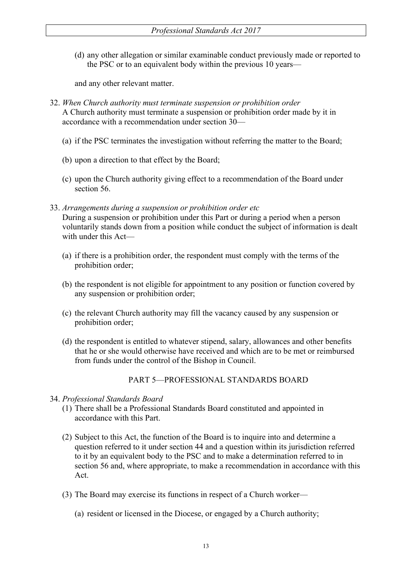(d) any other allegation or similar examinable conduct previously made or reported to the PSC or to an equivalent body within the previous 10 years—

and any other relevant matter.

- 32. *When Church authority must terminate suspension or prohibition order* A Church authority must terminate a suspension or prohibition order made by it in accordance with a recommendation under section 30—
	- (a) if the PSC terminates the investigation without referring the matter to the Board;
	- (b) upon a direction to that effect by the Board;
	- (c) upon the Church authority giving effect to a recommendation of the Board under section 56.
- 33. *Arrangements during a suspension or prohibition order etc* During a suspension or prohibition under this Part or during a period when a person voluntarily stands down from a position while conduct the subject of information is dealt with under this Act—
	- (a) if there is a prohibition order, the respondent must comply with the terms of the prohibition order;
	- (b) the respondent is not eligible for appointment to any position or function covered by any suspension or prohibition order;
	- (c) the relevant Church authority may fill the vacancy caused by any suspension or prohibition order;
	- (d) the respondent is entitled to whatever stipend, salary, allowances and other benefits that he or she would otherwise have received and which are to be met or reimbursed from funds under the control of the Bishop in Council.

PART 5—PROFESSIONAL STANDARDS BOARD

- 34. *Professional Standards Board*
	- (1) There shall be a Professional Standards Board constituted and appointed in accordance with this Part.
	- (2) Subject to this Act, the function of the Board is to inquire into and determine a question referred to it under section 44 and a question within its jurisdiction referred to it by an equivalent body to the PSC and to make a determination referred to in section 56 and, where appropriate, to make a recommendation in accordance with this Act.
	- (3) The Board may exercise its functions in respect of a Church worker—
		- (a) resident or licensed in the Diocese, or engaged by a Church authority;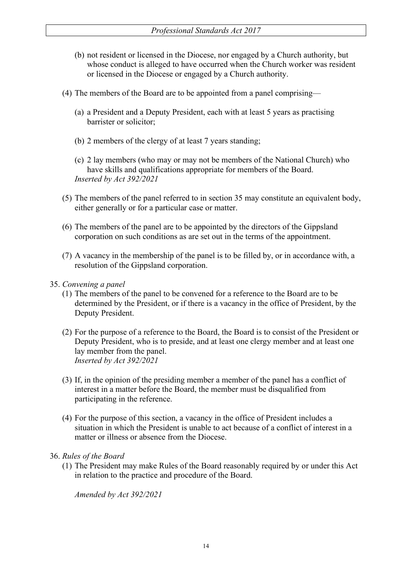- (b) not resident or licensed in the Diocese, nor engaged by a Church authority, but whose conduct is alleged to have occurred when the Church worker was resident or licensed in the Diocese or engaged by a Church authority.
- (4) The members of the Board are to be appointed from a panel comprising—
	- (a) a President and a Deputy President, each with at least 5 years as practising barrister or solicitor;
	- (b) 2 members of the clergy of at least 7 years standing;
	- (c) 2 lay members (who may or may not be members of the National Church) who have skills and qualifications appropriate for members of the Board. *Inserted by Act 392/2021*
- (5) The members of the panel referred to in section 35 may constitute an equivalent body, either generally or for a particular case or matter.
- (6) The members of the panel are to be appointed by the directors of the Gippsland corporation on such conditions as are set out in the terms of the appointment.
- (7) A vacancy in the membership of the panel is to be filled by, or in accordance with, a resolution of the Gippsland corporation.
- 35. *Convening a panel*
	- (1) The members of the panel to be convened for a reference to the Board are to be determined by the President, or if there is a vacancy in the office of President, by the Deputy President.
	- (2) For the purpose of a reference to the Board, the Board is to consist of the President or Deputy President, who is to preside, and at least one clergy member and at least one lay member from the panel. *Inserted by Act 392/2021*
	- (3) If, in the opinion of the presiding member a member of the panel has a conflict of interest in a matter before the Board, the member must be disqualified from participating in the reference.
	- (4) For the purpose of this section, a vacancy in the office of President includes a situation in which the President is unable to act because of a conflict of interest in a matter or illness or absence from the Diocese.
- 36. *Rules of the Board*
	- (1) The President may make Rules of the Board reasonably required by or under this Act in relation to the practice and procedure of the Board.

*Amended by Act 392/2021*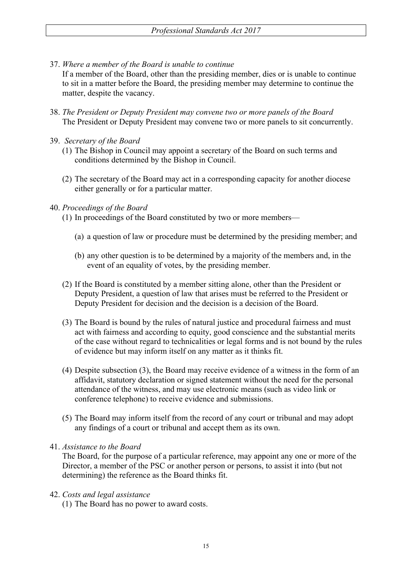37. *Where a member of the Board is unable to continue*

If a member of the Board, other than the presiding member, dies or is unable to continue to sit in a matter before the Board, the presiding member may determine to continue the matter, despite the vacancy.

- 38. *The President or Deputy President may convene two or more panels of the Board* The President or Deputy President may convene two or more panels to sit concurrently.
- 39. *Secretary of the Board*
	- (1) The Bishop in Council may appoint a secretary of the Board on such terms and conditions determined by the Bishop in Council.
	- (2) The secretary of the Board may act in a corresponding capacity for another diocese either generally or for a particular matter.

## 40. *Proceedings of the Board*

- (1) In proceedings of the Board constituted by two or more members—
	- (a) a question of law or procedure must be determined by the presiding member; and
	- (b) any other question is to be determined by a majority of the members and, in the event of an equality of votes, by the presiding member.
- (2) If the Board is constituted by a member sitting alone, other than the President or Deputy President, a question of law that arises must be referred to the President or Deputy President for decision and the decision is a decision of the Board.
- (3) The Board is bound by the rules of natural justice and procedural fairness and must act with fairness and according to equity, good conscience and the substantial merits of the case without regard to technicalities or legal forms and is not bound by the rules of evidence but may inform itself on any matter as it thinks fit.
- (4) Despite subsection (3), the Board may receive evidence of a witness in the form of an affidavit, statutory declaration or signed statement without the need for the personal attendance of the witness, and may use electronic means (such as video link or conference telephone) to receive evidence and submissions.
- (5) The Board may inform itself from the record of any court or tribunal and may adopt any findings of a court or tribunal and accept them as its own.

## 41. *Assistance to the Board*

The Board, for the purpose of a particular reference, may appoint any one or more of the Director, a member of the PSC or another person or persons, to assist it into (but not determining) the reference as the Board thinks fit.

## 42. *Costs and legal assistance*

(1) The Board has no power to award costs.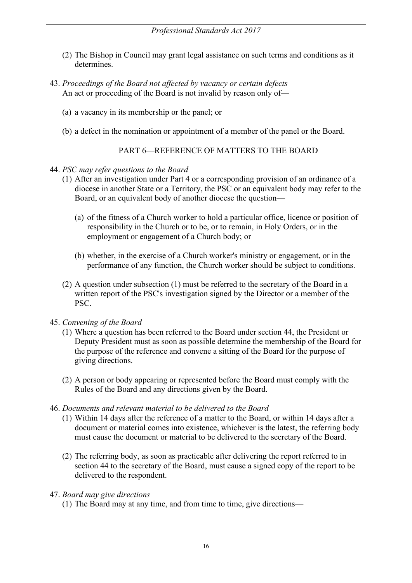- (2) The Bishop in Council may grant legal assistance on such terms and conditions as it determines.
- 43. *Proceedings of the Board not affected by vacancy or certain defects* An act or proceeding of the Board is not invalid by reason only of—
	- (a) a vacancy in its membership or the panel; or
	- (b) a defect in the nomination or appointment of a member of the panel or the Board.

## PART 6—REFERENCE OF MATTERS TO THE BOARD

### 44. *PSC may refer questions to the Board*

- (1) After an investigation under Part 4 or a corresponding provision of an ordinance of a diocese in another State or a Territory, the PSC or an equivalent body may refer to the Board, or an equivalent body of another diocese the question—
	- (a) of the fitness of a Church worker to hold a particular office, licence or position of responsibility in the Church or to be, or to remain, in Holy Orders, or in the employment or engagement of a Church body; or
	- (b) whether, in the exercise of a Church worker's ministry or engagement, or in the performance of any function, the Church worker should be subject to conditions.
- (2) A question under subsection (1) must be referred to the secretary of the Board in a written report of the PSC's investigation signed by the Director or a member of the PSC.

## 45. *Convening of the Board*

- (1) Where a question has been referred to the Board under section 44, the President or Deputy President must as soon as possible determine the membership of the Board for the purpose of the reference and convene a sitting of the Board for the purpose of giving directions.
- (2) A person or body appearing or represented before the Board must comply with the Rules of the Board and any directions given by the Board.

## 46. *Documents and relevant material to be delivered to the Board*

- (1) Within 14 days after the reference of a matter to the Board, or within 14 days after a document or material comes into existence, whichever is the latest, the referring body must cause the document or material to be delivered to the secretary of the Board.
- (2) The referring body, as soon as practicable after delivering the report referred to in section 44 to the secretary of the Board, must cause a signed copy of the report to be delivered to the respondent.

## 47. *Board may give directions*

(1) The Board may at any time, and from time to time, give directions—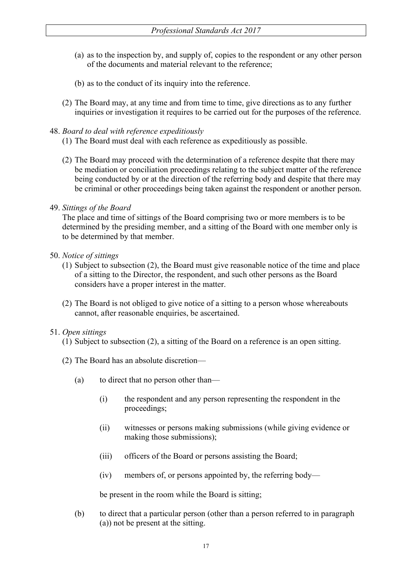- (a) as to the inspection by, and supply of, copies to the respondent or any other person of the documents and material relevant to the reference;
- (b) as to the conduct of its inquiry into the reference.
- (2) The Board may, at any time and from time to time, give directions as to any further inquiries or investigation it requires to be carried out for the purposes of the reference.

## 48. *Board to deal with reference expeditiously*

- (1) The Board must deal with each reference as expeditiously as possible.
- (2) The Board may proceed with the determination of a reference despite that there may be mediation or conciliation proceedings relating to the subject matter of the reference being conducted by or at the direction of the referring body and despite that there may be criminal or other proceedings being taken against the respondent or another person.

## 49. *Sittings of the Board*

The place and time of sittings of the Board comprising two or more members is to be determined by the presiding member, and a sitting of the Board with one member only is to be determined by that member.

## 50. *Notice of sittings*

- (1) Subject to subsection (2), the Board must give reasonable notice of the time and place of a sitting to the Director, the respondent, and such other persons as the Board considers have a proper interest in the matter.
- (2) The Board is not obliged to give notice of a sitting to a person whose whereabouts cannot, after reasonable enquiries, be ascertained.

## 51. *Open sittings*

- (1) Subject to subsection (2), a sitting of the Board on a reference is an open sitting.
- (2) The Board has an absolute discretion—
	- (a) to direct that no person other than—
		- (i) the respondent and any person representing the respondent in the proceedings;
		- (ii) witnesses or persons making submissions (while giving evidence or making those submissions);
		- (iii) officers of the Board or persons assisting the Board;
		- (iv) members of, or persons appointed by, the referring body—

be present in the room while the Board is sitting;

(b) to direct that a particular person (other than a person referred to in paragraph (a)) not be present at the sitting.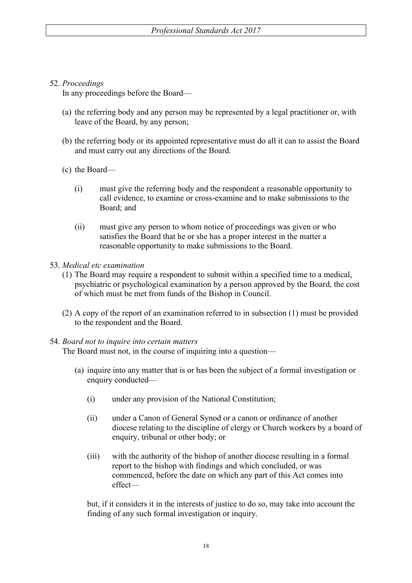52. *Proceedings*

In any proceedings before the Board—

- (a) the referring body and any person may be represented by a legal practitioner or, with leave of the Board, by any person;
- (b) the referring body or its appointed representative must do all it can to assist the Board and must carry out any directions of the Board.
- (c) the Board—
	- (i) must give the referring body and the respondent a reasonable opportunity to call evidence, to examine or cross-examine and to make submissions to the Board: and
	- (ii) must give any person to whom notice of proceedings was given or who satisfies the Board that he or she has a proper interest in the matter a reasonable opportunity to make submissions to the Board.
- 53. *Medical etc examination*
	- (1) The Board may require a respondent to submit within a specified time to a medical, psychiatric or psychological examination by a person approved by the Board, the cost of which must be met from funds of the Bishop in Council.
	- (2) A copy of the report of an examination referred to in subsection (1) must be provided to the respondent and the Board.

## 54. *Board not to inquire into certain matters*

The Board must not, in the course of inquiring into a question—

- (a) inquire into any matter that is or has been the subject of a formal investigation or enquiry conducted—
	- (i) under any provision of the National Constitution;
	- (ii) under a Canon of General Synod or a canon or ordinance of another diocese relating to the discipline of clergy or Church workers by a board of enquiry, tribunal or other body; or
	- (iii) with the authority of the bishop of another diocese resulting in a formal report to the bishop with findings and which concluded, or was commenced, before the date on which any part of this Act comes into effect—

but, if it considers it in the interests of justice to do so, may take into account the finding of any such formal investigation or inquiry.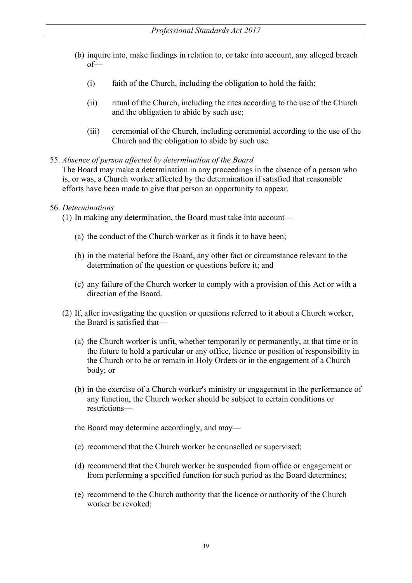- (b) inquire into, make findings in relation to, or take into account, any alleged breach of—
	- (i) faith of the Church, including the obligation to hold the faith;
	- (ii) ritual of the Church, including the rites according to the use of the Church and the obligation to abide by such use;
	- (iii) ceremonial of the Church, including ceremonial according to the use of the Church and the obligation to abide by such use.

## 55. *Absence of person affected by determination of the Board*

The Board may make a determination in any proceedings in the absence of a person who is, or was, a Church worker affected by the determination if satisfied that reasonable efforts have been made to give that person an opportunity to appear.

## 56. *Determinations*

(1) In making any determination, the Board must take into account—

- (a) the conduct of the Church worker as it finds it to have been;
- (b) in the material before the Board, any other fact or circumstance relevant to the determination of the question or questions before it; and
- (c) any failure of the Church worker to comply with a provision of this Act or with a direction of the Board.
- (2) If, after investigating the question or questions referred to it about a Church worker, the Board is satisfied that—
	- (a) the Church worker is unfit, whether temporarily or permanently, at that time or in the future to hold a particular or any office, licence or position of responsibility in the Church or to be or remain in Holy Orders or in the engagement of a Church body; or
	- (b) in the exercise of a Church worker's ministry or engagement in the performance of any function, the Church worker should be subject to certain conditions or restrictions—
	- the Board may determine accordingly, and may—
	- (c) recommend that the Church worker be counselled or supervised;
	- (d) recommend that the Church worker be suspended from office or engagement or from performing a specified function for such period as the Board determines;
	- (e) recommend to the Church authority that the licence or authority of the Church worker be revoked;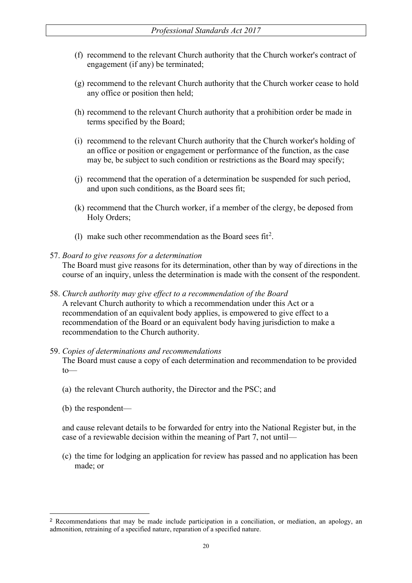- (f) recommend to the relevant Church authority that the Church worker's contract of engagement (if any) be terminated;
- (g) recommend to the relevant Church authority that the Church worker cease to hold any office or position then held;
- (h) recommend to the relevant Church authority that a prohibition order be made in terms specified by the Board;
- (i) recommend to the relevant Church authority that the Church worker's holding of an office or position or engagement or performance of the function, as the case may be, be subject to such condition or restrictions as the Board may specify;
- (j) recommend that the operation of a determination be suspended for such period, and upon such conditions, as the Board sees fit;
- (k) recommend that the Church worker, if a member of the clergy, be deposed from Holy Orders;
- (1) make such other recommendation as the Board sees  $fit^2$  $fit^2$ .

#### 57. *Board to give reasons for a determination*

The Board must give reasons for its determination, other than by way of directions in the course of an inquiry, unless the determination is made with the consent of the respondent.

58. *Church authority may give effect to a recommendation of the Board* A relevant Church authority to which a recommendation under this Act or a recommendation of an equivalent body applies, is empowered to give effect to a recommendation of the Board or an equivalent body having jurisdiction to make a recommendation to the Church authority.

### 59. *Copies of determinations and recommendations* The Board must cause a copy of each determination and recommendation to be provided  $to$ —

- (a) the relevant Church authority, the Director and the PSC; and
- (b) the respondent—

and cause relevant details to be forwarded for entry into the National Register but, in the case of a reviewable decision within the meaning of Part 7, not until—

(c) the time for lodging an application for review has passed and no application has been made; or

<span id="page-19-0"></span><sup>2</sup> Recommendations that may be made include participation in a conciliation, or mediation, an apology, an admonition, retraining of a specified nature, reparation of a specified nature.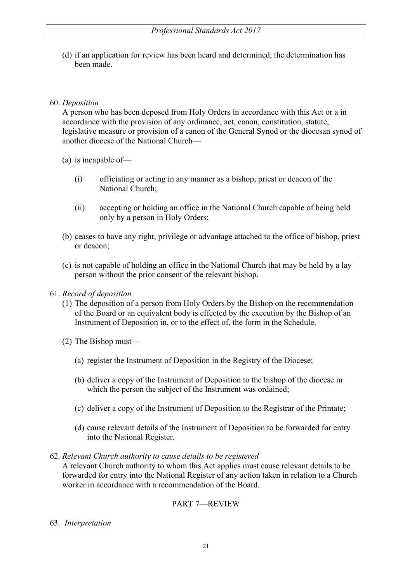(d) if an application for review has been heard and determined, the determination has been made.

## 60. *Deposition*

A person who has been deposed from Holy Orders in accordance with this Act or a in accordance with the provision of any ordinance, act, canon, constitution, statute, legislative measure or provision of a canon of the General Synod or the diocesan synod of another diocese of the National Church—

- (a) is incapable of—
	- (i) officiating or acting in any manner as a bishop, priest or deacon of the National Church;
	- (ii) accepting or holding an office in the National Church capable of being held only by a person in Holy Orders;
- (b) ceases to have any right, privilege or advantage attached to the office of bishop, priest or deacon;
- (c) is not capable of holding an office in the National Church that may be held by a lay person without the prior consent of the relevant bishop.
- 61. *Record of deposition*
	- (1) The deposition of a person from Holy Orders by the Bishop on the recommendation of the Board or an equivalent body is effected by the execution by the Bishop of an Instrument of Deposition in, or to the effect of, the form in the Schedule.
	- (2) The Bishop must—
		- (a) register the Instrument of Deposition in the Registry of the Diocese;
		- (b) deliver a copy of the Instrument of Deposition to the bishop of the diocese in which the person the subject of the Instrument was ordained;
		- (c) deliver a copy of the Instrument of Deposition to the Registrar of the Primate;
		- (d) cause relevant details of the Instrument of Deposition to be forwarded for entry into the National Register.

#### 62. *Relevant Church authority to cause details to be registered*

A relevant Church authority to whom this Act applies must cause relevant details to be forwarded for entry into the National Register of any action taken in relation to a Church worker in accordance with a recommendation of the Board.

## PART 7—REVIEW

63. *Interpretation*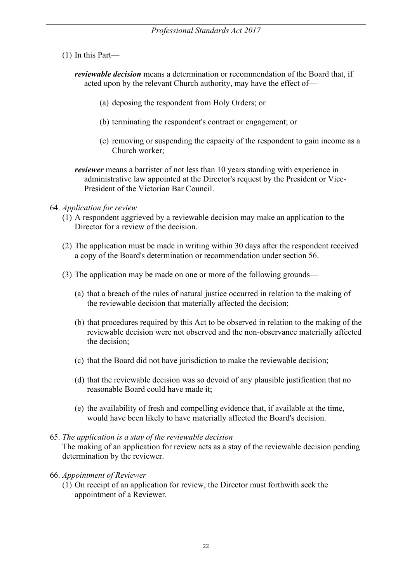- (1) In this Part
	- *reviewable decision* means a determination or recommendation of the Board that, if acted upon by the relevant Church authority, may have the effect of—
		- (a) deposing the respondent from Holy Orders; or
		- (b) terminating the respondent's contract or engagement; or
		- (c) removing or suspending the capacity of the respondent to gain income as a Church worker;
	- *reviewer* means a barrister of not less than 10 years standing with experience in administrative law appointed at the Director's request by the President or Vice-President of the Victorian Bar Council.
- 64. *Application for review*
	- (1) A respondent aggrieved by a reviewable decision may make an application to the Director for a review of the decision.
	- (2) The application must be made in writing within 30 days after the respondent received a copy of the Board's determination or recommendation under section 56.
	- (3) The application may be made on one or more of the following grounds—
		- (a) that a breach of the rules of natural justice occurred in relation to the making of the reviewable decision that materially affected the decision;
		- (b) that procedures required by this Act to be observed in relation to the making of the reviewable decision were not observed and the non-observance materially affected the decision;
		- (c) that the Board did not have jurisdiction to make the reviewable decision;
		- (d) that the reviewable decision was so devoid of any plausible justification that no reasonable Board could have made it;
		- (e) the availability of fresh and compelling evidence that, if available at the time, would have been likely to have materially affected the Board's decision.
- 65. *The application is a stay of the reviewable decision*

The making of an application for review acts as a stay of the reviewable decision pending determination by the reviewer.

- 66. *Appointment of Reviewer*
	- (1) On receipt of an application for review, the Director must forthwith seek the appointment of a Reviewer.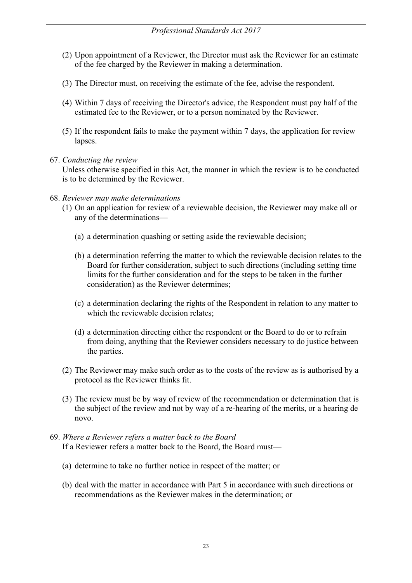- (2) Upon appointment of a Reviewer, the Director must ask the Reviewer for an estimate of the fee charged by the Reviewer in making a determination.
- (3) The Director must, on receiving the estimate of the fee, advise the respondent.
- (4) Within 7 days of receiving the Director's advice, the Respondent must pay half of the estimated fee to the Reviewer, or to a person nominated by the Reviewer.
- (5) If the respondent fails to make the payment within 7 days, the application for review lapses.

#### 67. *Conducting the review*

Unless otherwise specified in this Act, the manner in which the review is to be conducted is to be determined by the Reviewer.

- 68. *Reviewer may make determinations*
	- (1) On an application for review of a reviewable decision, the Reviewer may make all or any of the determinations—
		- (a) a determination quashing or setting aside the reviewable decision;
		- (b) a determination referring the matter to which the reviewable decision relates to the Board for further consideration, subject to such directions (including setting time limits for the further consideration and for the steps to be taken in the further consideration) as the Reviewer determines;
		- (c) a determination declaring the rights of the Respondent in relation to any matter to which the reviewable decision relates;
		- (d) a determination directing either the respondent or the Board to do or to refrain from doing, anything that the Reviewer considers necessary to do justice between the parties.
	- (2) The Reviewer may make such order as to the costs of the review as is authorised by a protocol as the Reviewer thinks fit.
	- (3) The review must be by way of review of the recommendation or determination that is the subject of the review and not by way of a re-hearing of the merits, or a hearing de novo.
- 69. *Where a Reviewer refers a matter back to the Board* If a Reviewer refers a matter back to the Board, the Board must—
	- (a) determine to take no further notice in respect of the matter; or
	- (b) deal with the matter in accordance with Part 5 in accordance with such directions or recommendations as the Reviewer makes in the determination; or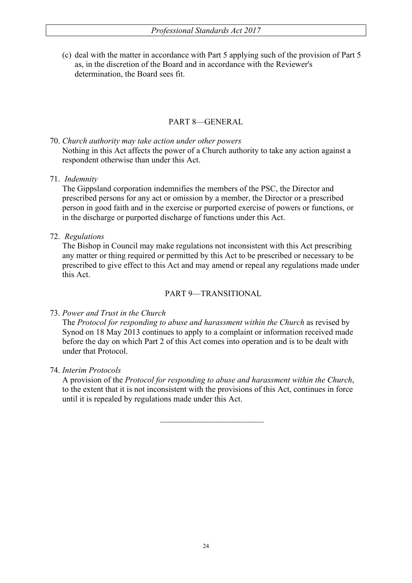(c) deal with the matter in accordance with Part 5 applying such of the provision of Part 5 as, in the discretion of the Board and in accordance with the Reviewer's determination, the Board sees fit.

## PART 8—GENERAL

70. *Church authority may take action under other powers* Nothing in this Act affects the power of a Church authority to take any action against a respondent otherwise than under this Act.

71. *Indemnity*

The Gippsland corporation indemnifies the members of the PSC, the Director and prescribed persons for any act or omission by a member, the Director or a prescribed person in good faith and in the exercise or purported exercise of powers or functions, or in the discharge or purported discharge of functions under this Act.

72. *Regulations*

The Bishop in Council may make regulations not inconsistent with this Act prescribing any matter or thing required or permitted by this Act to be prescribed or necessary to be prescribed to give effect to this Act and may amend or repeal any regulations made under this Act.

## PART 9—TRANSITIONAL

73. *Power and Trust in the Church*

The *Protocol for responding to abuse and harassment within the Church* as revised by Synod on 18 May 2013 continues to apply to a complaint or information received made before the day on which Part 2 of this Act comes into operation and is to be dealt with under that Protocol.

74. *Interim Protocols*

A provision of the *Protocol for responding to abuse and harassment within the Church*, to the extent that it is not inconsistent with the provisions of this Act, continues in force until it is repealed by regulations made under this Act.

 $\overline{\phantom{a}}$  , which is a set of the set of the set of the set of the set of the set of the set of the set of the set of the set of the set of the set of the set of the set of the set of the set of the set of the set of th